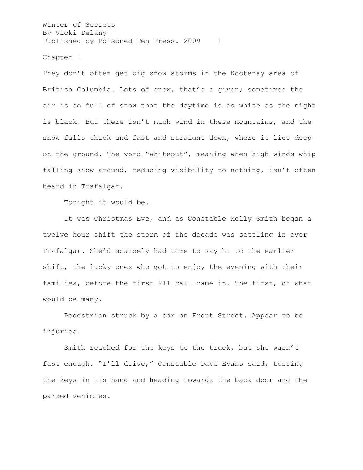Chapter 1

They don't often get big snow storms in the Kootenay area of British Columbia. Lots of snow, that's a given; sometimes the air is so full of snow that the daytime is as white as the night is black. But there isn't much wind in these mountains, and the snow falls thick and fast and straight down, where it lies deep on the ground. The word "whiteout", meaning when high winds whip falling snow around, reducing visibility to nothing, isn't often heard in Trafalgar.

Tonight it would be.

It was Christmas Eve, and as Constable Molly Smith began a twelve hour shift the storm of the decade was settling in over Trafalgar. She'd scarcely had time to say hi to the earlier shift, the lucky ones who got to enjoy the evening with their families, before the first 911 call came in. The first, of what would be many.

Pedestrian struck by a car on Front Street. Appear to be injuries.

Smith reached for the keys to the truck, but she wasn't fast enough. "I'll drive," Constable Dave Evans said, tossing the keys in his hand and heading towards the back door and the parked vehicles.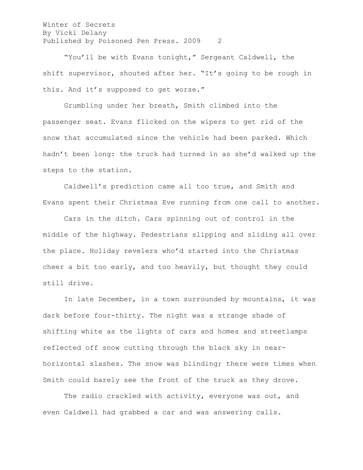"You'll be with Evans tonight," Sergeant Caldwell, the shift supervisor, shouted after her. "It's going to be rough in this. And it's supposed to get worse."

Grumbling under her breath, Smith climbed into the passenger seat. Evans flicked on the wipers to get rid of the snow that accumulated since the vehicle had been parked. Which hadn't been long: the truck had turned in as she'd walked up the steps to the station.

Caldwell's prediction came all too true, and Smith and Evans spent their Christmas Eve running from one call to another.

Cars in the ditch. Cars spinning out of control in the middle of the highway. Pedestrians slipping and sliding all over the place. Holiday revelers who'd started into the Christmas cheer a bit too early, and too heavily, but thought they could still drive.

In late December, in a town surrounded by mountains, it was dark before four-thirty. The night was a strange shade of shifting white as the lights of cars and homes and streetlamps reflected off snow cutting through the black sky in nearhorizontal slashes. The snow was blinding; there were times when Smith could barely see the front of the truck as they drove.

The radio crackled with activity, everyone was out, and even Caldwell had grabbed a car and was answering calls.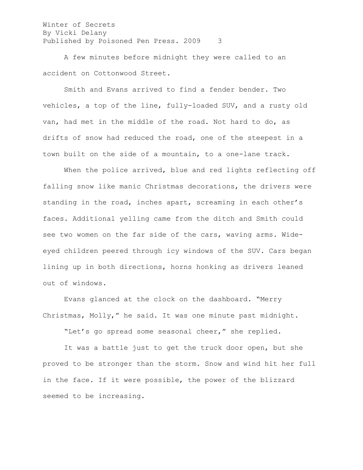A few minutes before midnight they were called to an accident on Cottonwood Street.

Smith and Evans arrived to find a fender bender. Two vehicles, a top of the line, fully-loaded SUV, and a rusty old van, had met in the middle of the road. Not hard to do, as drifts of snow had reduced the road, one of the steepest in a town built on the side of a mountain, to a one-lane track.

When the police arrived, blue and red lights reflecting off falling snow like manic Christmas decorations, the drivers were standing in the road, inches apart, screaming in each other's faces. Additional yelling came from the ditch and Smith could see two women on the far side of the cars, waving arms. Wideeyed children peered through icy windows of the SUV. Cars began lining up in both directions, horns honking as drivers leaned out of windows.

Evans glanced at the clock on the dashboard. "Merry Christmas, Molly," he said. It was one minute past midnight.

"Let's go spread some seasonal cheer," she replied.

It was a battle just to get the truck door open, but she proved to be stronger than the storm. Snow and wind hit her full in the face. If it were possible, the power of the blizzard seemed to be increasing.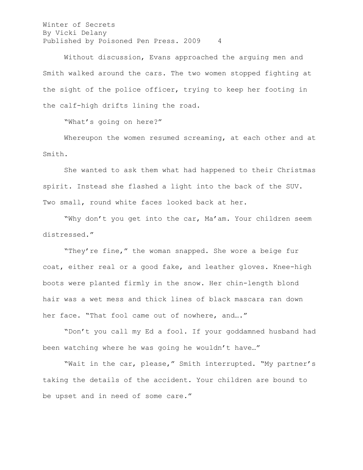Without discussion, Evans approached the arguing men and Smith walked around the cars. The two women stopped fighting at the sight of the police officer, trying to keep her footing in the calf-high drifts lining the road.

"What's going on here?"

Whereupon the women resumed screaming, at each other and at Smith.

She wanted to ask them what had happened to their Christmas spirit. Instead she flashed a light into the back of the SUV. Two small, round white faces looked back at her.

"Why don't you get into the car, Ma'am. Your children seem distressed."

"They're fine," the woman snapped. She wore a beige fur coat, either real or a good fake, and leather gloves. Knee-high boots were planted firmly in the snow. Her chin-length blond hair was a wet mess and thick lines of black mascara ran down her face. "That fool came out of nowhere, and...."

"Don't you call my Ed a fool. If your goddamned husband had been watching where he was going he wouldn't have…"

"Wait in the car, please," Smith interrupted. "My partner's taking the details of the accident. Your children are bound to be upset and in need of some care."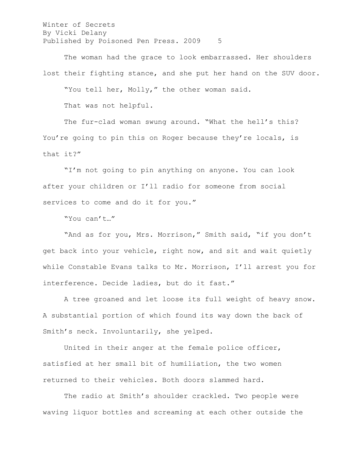The woman had the grace to look embarrassed. Her shoulders lost their fighting stance, and she put her hand on the SUV door. "You tell her, Molly," the other woman said. That was not helpful.

The fur-clad woman swung around. "What the hell's this? You're going to pin this on Roger because they're locals, is that it?"

"I'm not going to pin anything on anyone. You can look after your children or I'll radio for someone from social services to come and do it for you."

"You can't…"

"And as for you, Mrs. Morrison," Smith said, "if you don't get back into your vehicle, right now, and sit and wait quietly while Constable Evans talks to Mr. Morrison, I'll arrest you for interference. Decide ladies, but do it fast."

A tree groaned and let loose its full weight of heavy snow. A substantial portion of which found its way down the back of Smith's neck. Involuntarily, she yelped.

United in their anger at the female police officer, satisfied at her small bit of humiliation, the two women returned to their vehicles. Both doors slammed hard.

The radio at Smith's shoulder crackled. Two people were waving liquor bottles and screaming at each other outside the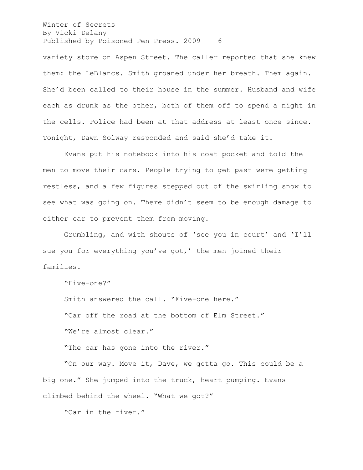variety store on Aspen Street. The caller reported that she knew them: the LeBlancs. Smith groaned under her breath. Them again. She'd been called to their house in the summer. Husband and wife each as drunk as the other, both of them off to spend a night in the cells. Police had been at that address at least once since. Tonight, Dawn Solway responded and said she'd take it.

Evans put his notebook into his coat pocket and told the men to move their cars. People trying to get past were getting restless, and a few figures stepped out of the swirling snow to see what was going on. There didn't seem to be enough damage to either car to prevent them from moving.

Grumbling, and with shouts of 'see you in court' and 'I'll sue you for everything you've got,' the men joined their families.

"Five-one?"

Smith answered the call. "Five-one here." "Car off the road at the bottom of Elm Street." "We're almost clear."

"The car has gone into the river."

"On our way. Move it, Dave, we gotta go. This could be a big one." She jumped into the truck, heart pumping. Evans climbed behind the wheel. "What we got?"

"Car in the river."